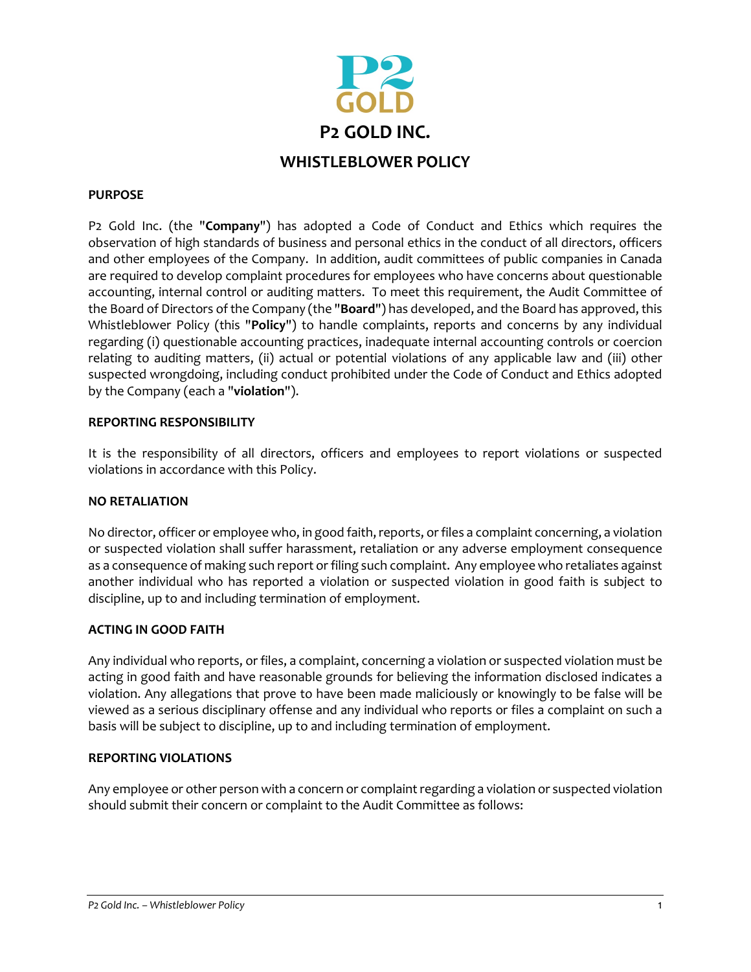

## **PURPOSE**

P2 Gold Inc. (the "**Company**") has adopted a Code of Conduct and Ethics which requires the observation of high standards of business and personal ethics in the conduct of all directors, officers and other employees of the Company. In addition, audit committees of public companies in Canada are required to develop complaint procedures for employees who have concerns about questionable accounting, internal control or auditing matters. To meet this requirement, the Audit Committee of the Board of Directors of the Company (the "**Board**") has developed, and the Board has approved, this Whistleblower Policy (this "**Policy**") to handle complaints, reports and concerns by any individual regarding (i) questionable accounting practices, inadequate internal accounting controls or coercion relating to auditing matters, (ii) actual or potential violations of any applicable law and (iii) other suspected wrongdoing, including conduct prohibited under the Code of Conduct and Ethics adopted by the Company (each a "**violation**").

### **REPORTING RESPONSIBILITY**

It is the responsibility of all directors, officers and employees to report violations or suspected violations in accordance with this Policy.

#### **NO RETALIATION**

No director, officer or employee who, in good faith, reports, or files a complaint concerning, a violation or suspected violation shall suffer harassment, retaliation or any adverse employment consequence as a consequence of making such report or filing such complaint. Any employee who retaliates against another individual who has reported a violation or suspected violation in good faith is subject to discipline, up to and including termination of employment.

#### **ACTING IN GOOD FAITH**

Any individual who reports, or files, a complaint, concerning a violation or suspected violation must be acting in good faith and have reasonable grounds for believing the information disclosed indicates a violation. Any allegations that prove to have been made maliciously or knowingly to be false will be viewed as a serious disciplinary offense and any individual who reports or files a complaint on such a basis will be subject to discipline, up to and including termination of employment.

#### **REPORTING VIOLATIONS**

Any employee or other person with a concern or complaint regarding a violation or suspected violation should submit their concern or complaint to the Audit Committee as follows: